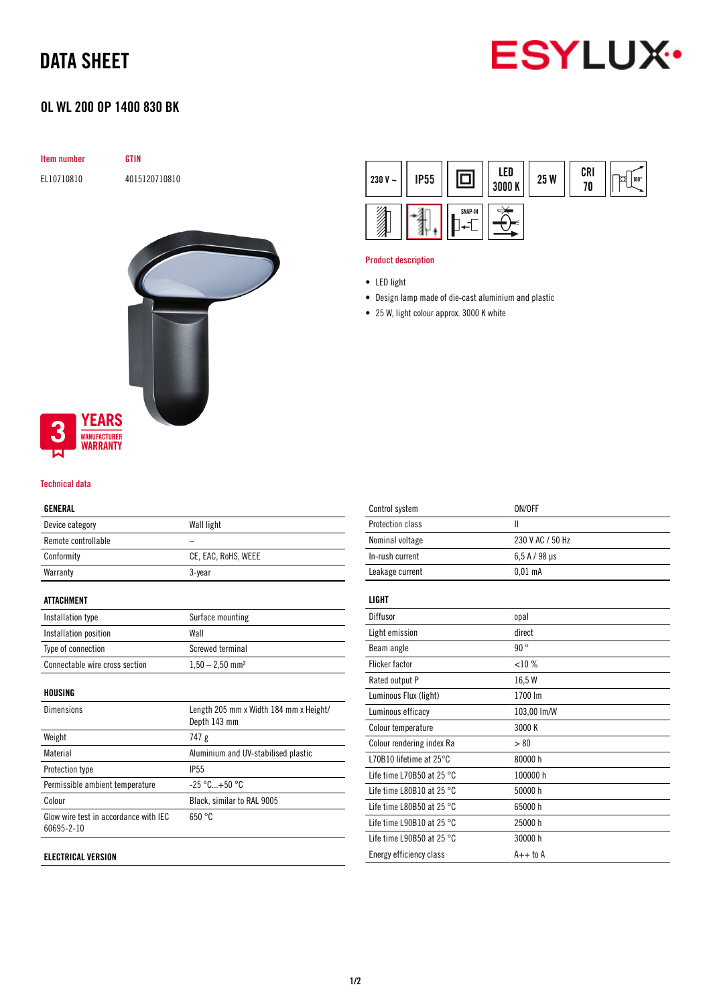# DATA SHEET



# OL WL 200 OP 1400 830 BK

| Item number |                                        | <b>GTIN</b>   |
|-------------|----------------------------------------|---------------|
| EL10710810  |                                        | 4015120710810 |
|             |                                        |               |
|             |                                        |               |
|             |                                        |               |
|             |                                        |               |
|             |                                        |               |
|             |                                        |               |
|             |                                        |               |
| 3           | <b>YEARS</b>                           |               |
|             | <b>MANUFACTURER</b><br><b>WARRANTY</b> |               |

## Technical data

### GENERAL

| Device category     | Wall light          |
|---------------------|---------------------|
| Remote controllable |                     |
| Conformity          | CE, EAC, RoHS, WEEE |
| Warranty            | 3-year              |
|                     |                     |

### ATTACHMENT

| Installation type              | Surface mounting              |
|--------------------------------|-------------------------------|
| Installation position          | Wall                          |
| Type of connection             | Screwed terminal              |
| Connectable wire cross section | $1,50 - 2,50$ mm <sup>2</sup> |

#### HOUSING

| <b>Dimensions</b>                                   | Length 205 mm x Width 184 mm x Height/<br>Depth 143 mm |
|-----------------------------------------------------|--------------------------------------------------------|
| Weight                                              | 747 g                                                  |
| Material                                            | Aluminium and UV-stabilised plastic                    |
| Protection type                                     | <b>IP55</b>                                            |
| Permissible ambient temperature                     | $-25 °C+50 °C$                                         |
| Colour                                              | Black, similar to RAL 9005                             |
| Glow wire test in accordance with IEC<br>60695-2-10 | 650 °C                                                 |
|                                                     |                                                        |

## ELECTRICAL VERSION



#### Product description

- Design lamp made of die-cast aluminium and plastic
- 25 W, light colour approx. 3000 K white

| Control system                      | ON/OFF           |
|-------------------------------------|------------------|
| Protection class                    | Ш                |
| Nominal voltage                     | 230 V AC / 50 Hz |
| In-rush current                     | $6.5$ A / 98 µs  |
| Leakage current                     | $0.01$ mA        |
| <b>LIGHT</b>                        |                  |
| Diffusor                            | opal             |
| Light emission                      | direct           |
| Beam angle                          | 90°              |
| <b>Flicker factor</b>               | <10%             |
| Rated output P                      | 16,5 W           |
| Luminous Flux (light)               | 1700 lm          |
| Luminous efficacy                   | 103,00 lm/W      |
| Colour temperature                  | 3000 K           |
| Colour rendering index Ra           | > 80             |
| L70B10 lifetime at $25^{\circ}$ C   | 80000 h          |
| Life time L70B50 at 25 $^{\circ}$ C | 100000 h         |
| Life time L80B10 at 25 $^{\circ}$ C | 50000 h          |
| Life time L80B50 at 25 $^{\circ}$ C | 65000h           |
| Life time L90B10 at 25 $^{\circ}$ C | 25000 h          |
| Life time L90B50 at 25 $^{\circ}$ C | 30000h           |
| Energy efficiency class             | $A++$ to $A$     |
|                                     |                  |

<sup>•</sup> LED light